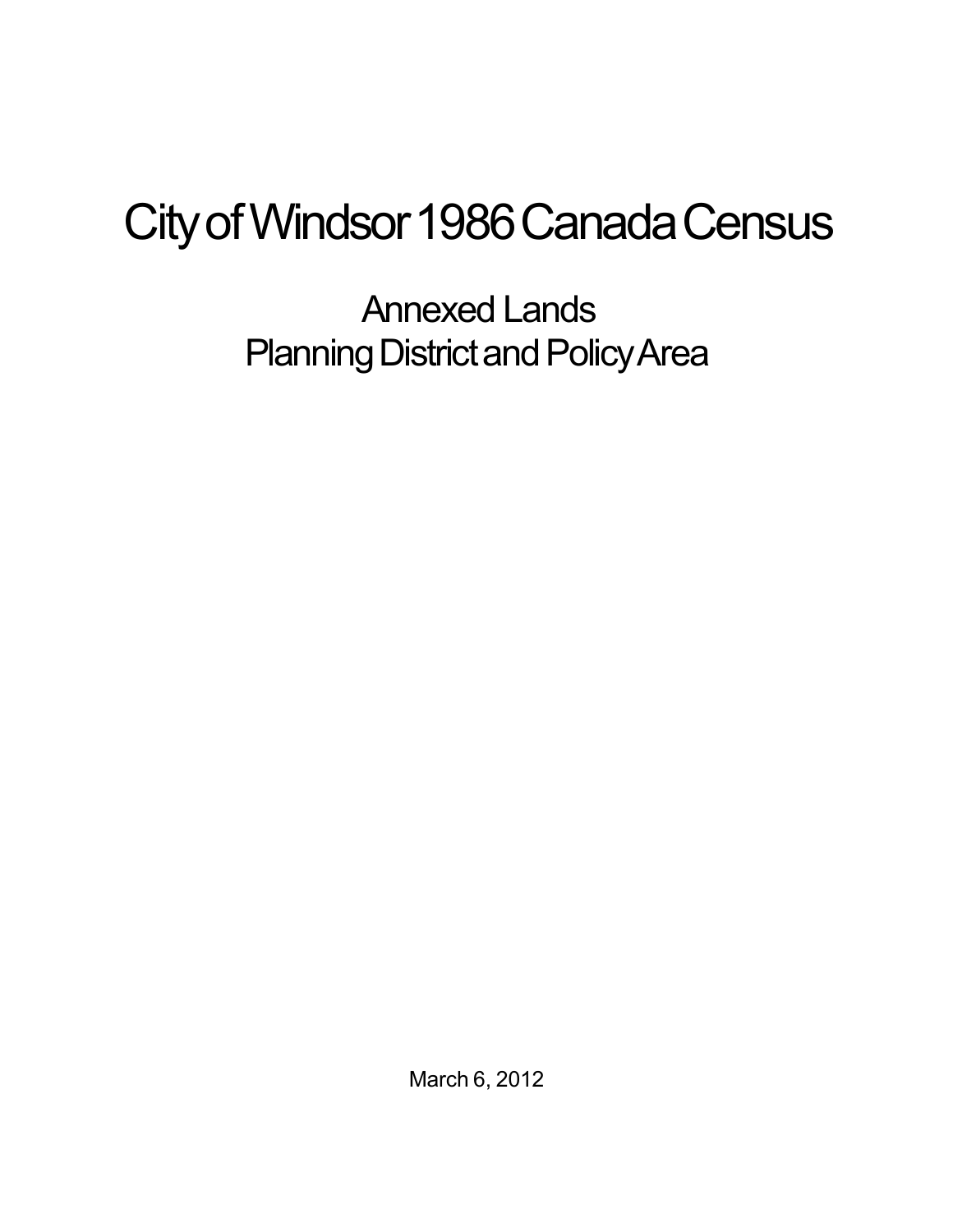## City of Windsor 1986 Canada Census

Annexed Lands Planning District and Policy Area

March 6, 2012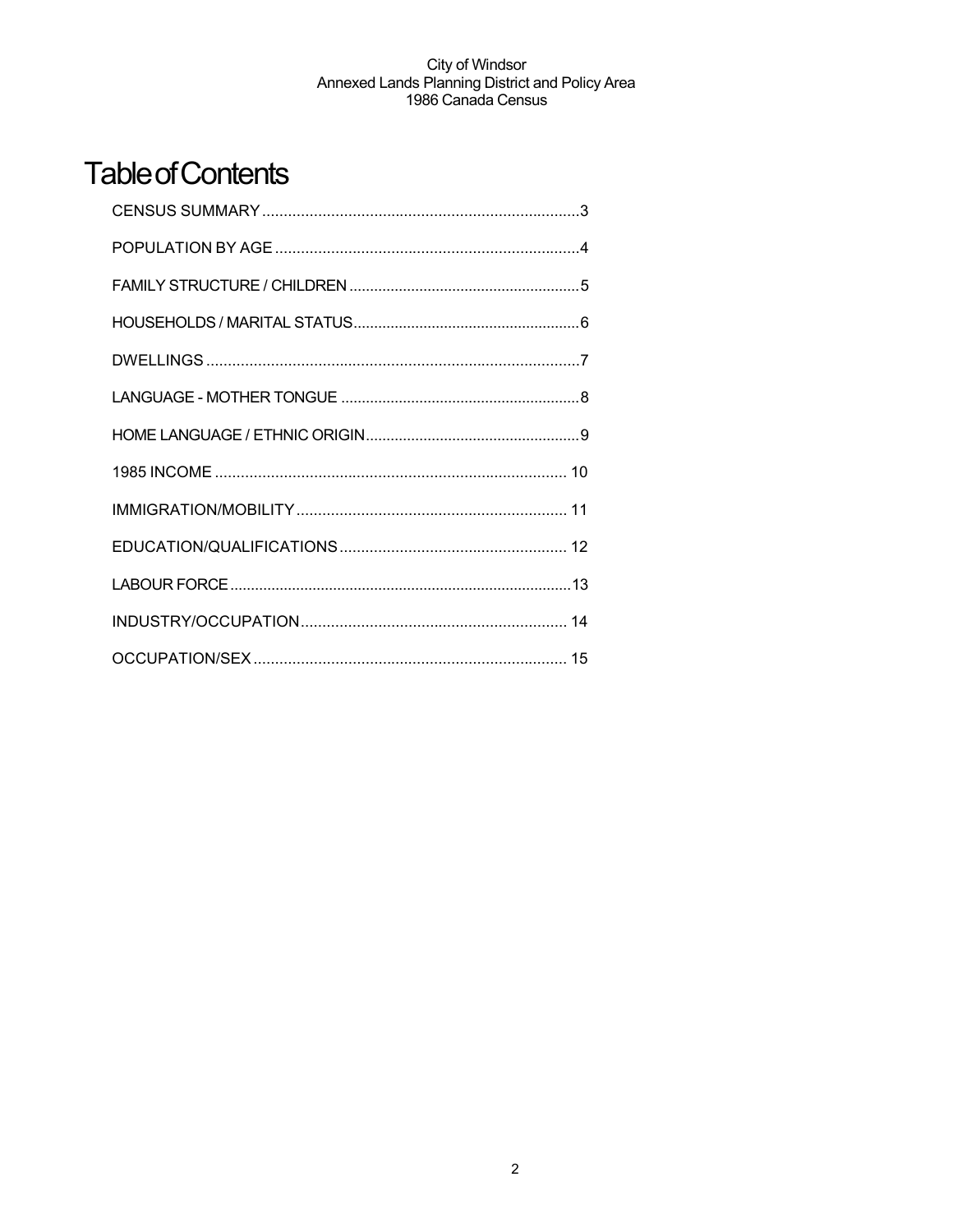## **Table of Contents**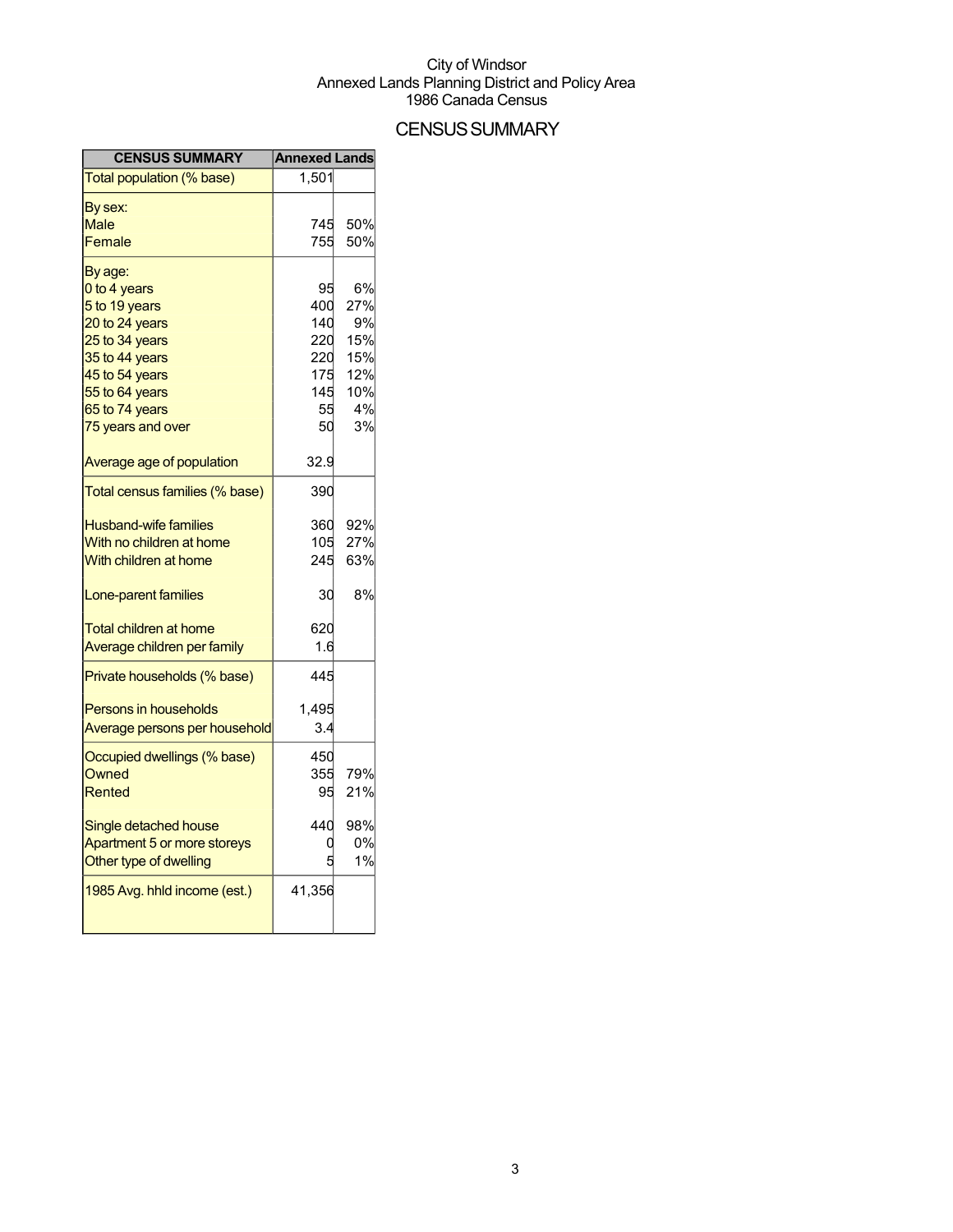## **CENSUS SUMMARY**

| <b>CENSUS SUMMARY</b>          | <b>Annexed Lands</b> |     |
|--------------------------------|----------------------|-----|
| Total population (% base)      | 1,501                |     |
| By sex:                        |                      |     |
| Male                           | 745                  | 50% |
| Female                         | 755                  | 50% |
| By age:                        |                      |     |
| 0 to 4 years                   | 95                   | 6%  |
| 5 to 19 years                  | 400                  | 27% |
| 20 to 24 years                 | 140                  | 9%  |
| 25 to 34 years                 | 220                  | 15% |
| 35 to 44 years                 | 220                  | 15% |
| 45 to 54 years                 | 175                  | 12% |
| 55 to 64 years                 | 145                  | 10% |
| 65 to 74 years                 | 55                   | 4%  |
| 75 years and over              | 50                   | 3%  |
| Average age of population      | 32.9                 |     |
| Total census families (% base) | 390                  |     |
| <b>Husband-wife families</b>   | 360                  | 92% |
| With no children at home       | 105                  | 27% |
| With children at home          | 245                  | 63% |
| Lone-parent families           | 30                   | 8%  |
| <b>Total children at home</b>  | 620                  |     |
| Average children per family    | 1.6                  |     |
| Private households (% base)    | 445                  |     |
| <b>Persons in households</b>   | 1,495                |     |
| Average persons per household  | 3.4                  |     |
| Occupied dwellings (% base)    | 450                  |     |
| Owned                          | 355                  | 79% |
| Rented                         | 95                   | 21% |
| Single detached house          | 440                  | 98% |
| Apartment 5 or more storeys    |                      | 0%  |
| Other type of dwelling         |                      | 1%  |
| 1985 Avg. hhld income (est.)   | 41,356               |     |
|                                |                      |     |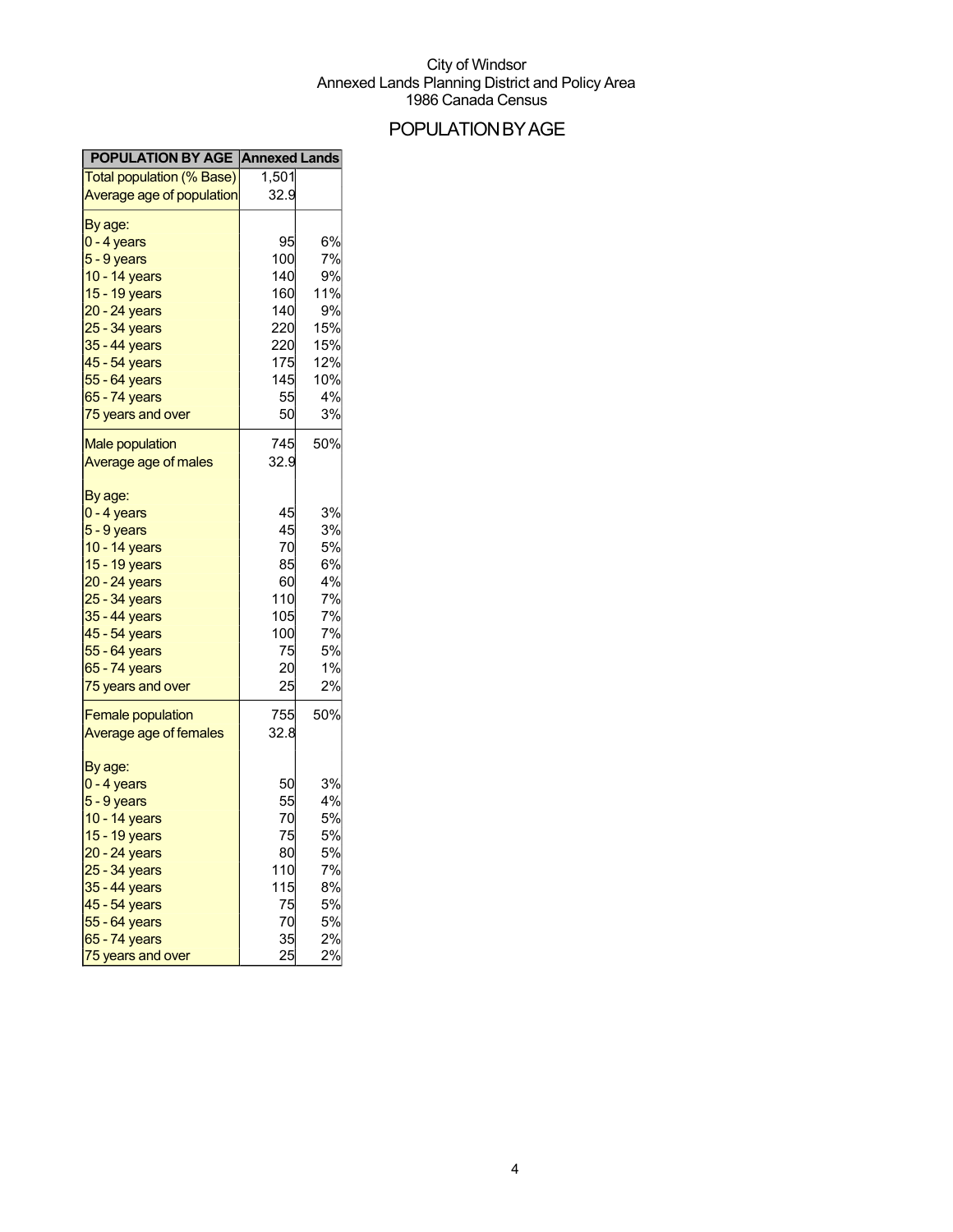## POPULATIONBYAGE

| <b>POPULATION BY AGE Annexed Lands</b> |       |     |
|----------------------------------------|-------|-----|
| Total population (% Base)              | 1,501 |     |
| Average age of population              | 32.9  |     |
|                                        |       |     |
| By age:                                |       |     |
| $0 - 4$ years                          | 95    | 6%  |
| 5 - 9 years                            | 100   | 7%  |
| 10 - 14 years                          | 140   | 9%  |
| 15 - 19 years                          | 160   | 11% |
| 20 - 24 years                          | 140   | 9%  |
| 25 - 34 years                          | 220   | 15% |
| 35 - 44 years                          | 220   | 15% |
| 45 - 54 years                          | 175   | 12% |
| 55 - 64 years                          | 145   | 10% |
| 65 - 74 years                          | 55    | 4%  |
| 75 years and over                      | 50    | 3%  |
| <b>Male population</b>                 | 745   | 50% |
| Average age of males                   | 32.9  |     |
|                                        |       |     |
| By age:                                |       |     |
| 0 - 4 years                            | 45    | 3%  |
| $5 - 9$ years                          | 45    | 3%  |
| 10 - 14 years                          | 70    | 5%  |
| 15 - 19 years                          | 85    | 6%  |
| 20 - 24 years                          | 60    | 4%  |
| 25 - 34 years                          | 110   | 7%  |
| 35 - 44 years                          | 105   | 7%  |
| 45 - 54 years                          | 100   | 7%  |
| 55 - 64 years                          | 75    | 5%  |
| 65 - 74 years                          | 20    | 1%  |
| 75 years and over                      | 25    | 2%  |
| <b>Female population</b>               | 755   | 50% |
| Average age of females                 | 32.8  |     |
|                                        |       |     |
| By age:                                |       |     |
| 0 - 4 years                            | 50    | 3%  |
| $5 - 9$ years                          | 55    | 4%  |
| 10 - 14 years                          | 70    | 5%  |
| 15 - 19 years                          | 75    | 5%  |
| 20 - 24 years                          | 80    | 5%  |
| 25 - 34 years                          | 110   | 7%  |
| 35 - 44 years                          | 115   | 8%  |
| $45 - 54$ years                        | 75    | 5%  |
| 55 - 64 years                          | 70    | 5%  |
| 65 - 74 years                          | 35    | 2%  |
| 75 years and over                      | 25    | 2%  |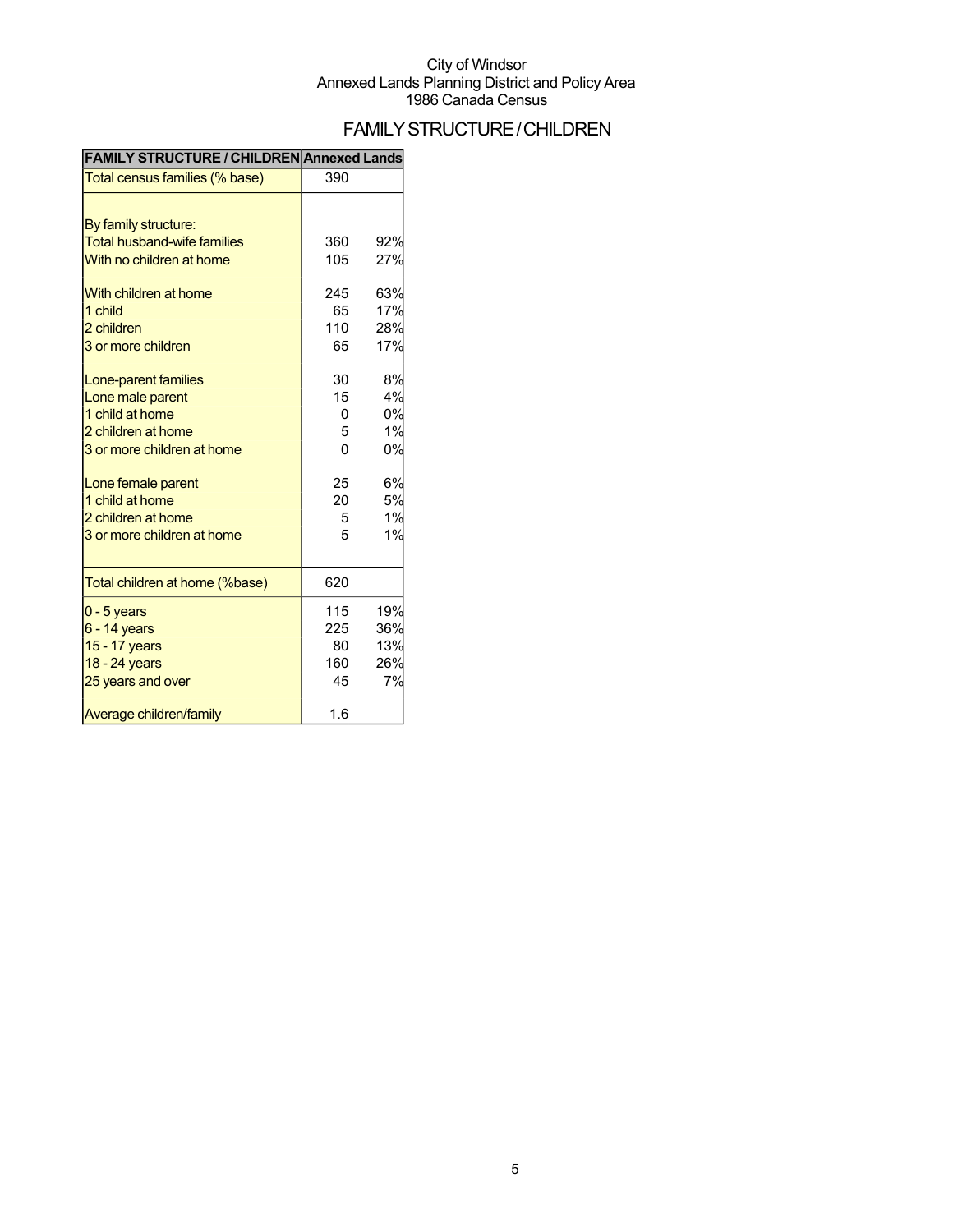## FAMILYSTRUCTURE/CHILDREN

| <b>FAMILY SIRUCTURE / CHILDREN ANNEXEG LANGS</b> |                 |     |
|--------------------------------------------------|-----------------|-----|
| Total census families (% base)                   | 390             |     |
|                                                  |                 |     |
| By family structure:                             |                 |     |
| <b>Total husband-wife families</b>               | 360             | 92% |
| With no children at home                         | 105             | 27% |
| With children at home                            | 245             | 63% |
| 1 child                                          | 65              | 17% |
| 2 children                                       | 110             | 28% |
| 3 or more children                               | 65              | 17% |
| Lone-parent families                             | 30              | 8%  |
| Lone male parent                                 | 15              | 4%  |
| 1 child at home                                  |                 | 0%  |
| 2 children at home                               |                 | 1%  |
| 3 or more children at home                       |                 | 0%  |
| Lone female parent                               | 25              | 6%  |
| 1 child at home                                  | $\overline{20}$ | 5%  |
| 2 children at home                               | 5               | 1%  |
| 3 or more children at home                       |                 | 1%  |
| Total children at home (%base)                   | 620             |     |
| $0 - 5$ years                                    | 115             | 19% |
| $6 - 14$ years                                   | 225             | 36% |
| 15 - 17 years                                    | 80              | 13% |
| 18 - 24 years                                    | 160             | 26% |
| 25 years and over                                | 45              | 7%  |
| Average children/family                          | 1.6             |     |

#### **FAMILY STRUCTURE / CHILDREN Annexed Lands**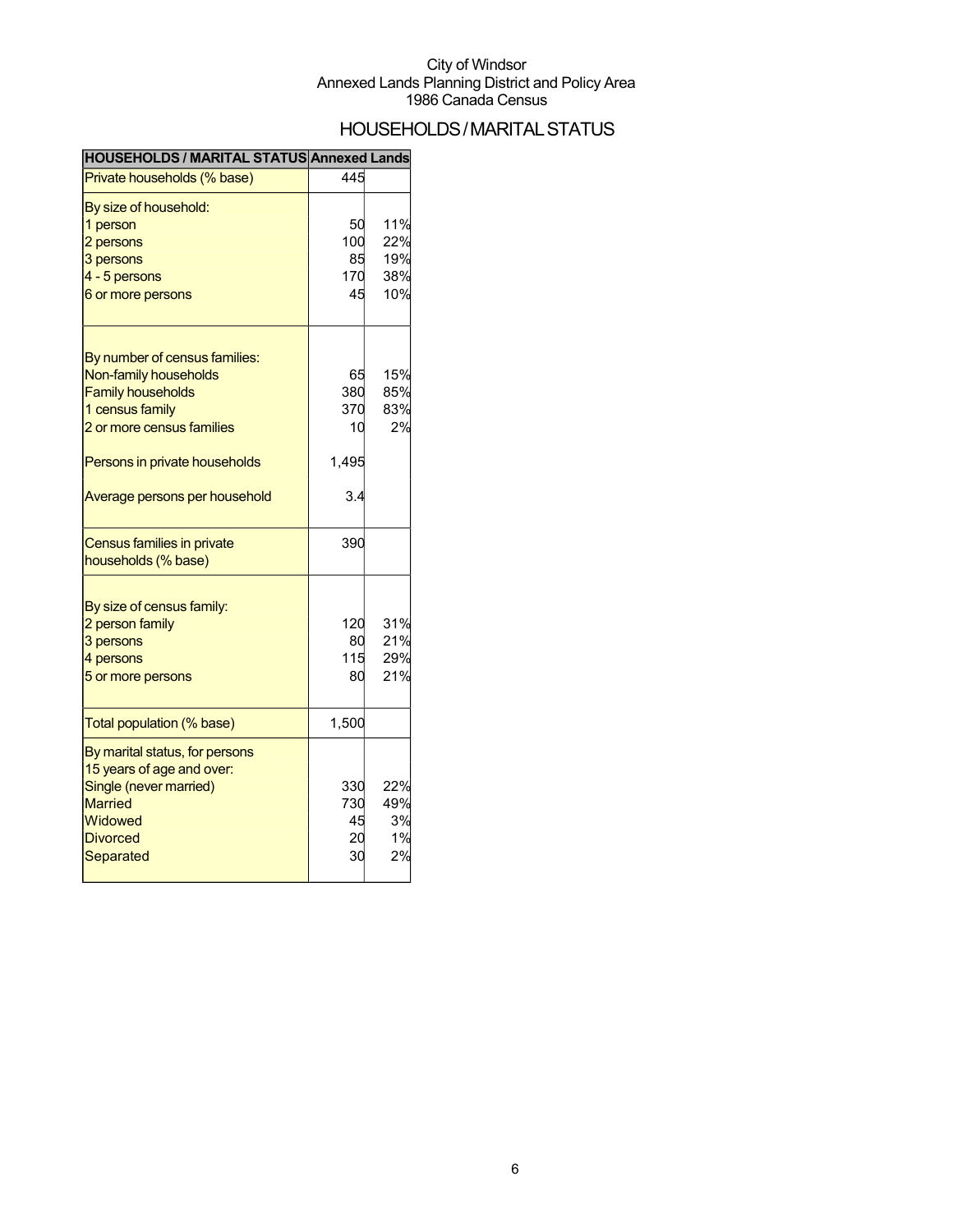## HOUSEHOLDS/MARITALSTATUS

| <b>HOUSEHOLDS / MARITAL STATUS Annexed Lands</b> |       |     |
|--------------------------------------------------|-------|-----|
| Private households (% base)                      | 445   |     |
| By size of household:                            |       |     |
| 1 person                                         | 50    | 11% |
| 2 persons                                        | 100   | 22% |
| 3 persons                                        | 85    | 19% |
| 4 - 5 persons                                    | 170   | 38% |
| 6 or more persons                                | 45    | 10% |
| By number of census families:                    |       |     |
| Non-family households                            | 65    | 15% |
| <b>Family households</b>                         | 380   | 85% |
| 1 census family                                  | 370   | 83% |
| 2 or more census families                        | 10    | 2%  |
|                                                  |       |     |
| Persons in private households                    | 1,495 |     |
| Average persons per household                    | 3.4   |     |
| Census families in private                       | 390   |     |
| households (% base)                              |       |     |
| By size of census family:                        |       |     |
| 2 person family                                  | 120   | 31% |
| 3 persons                                        | 80    | 21% |
| 4 persons                                        | 115   | 29% |
| 5 or more persons                                | 80    | 21% |
|                                                  |       |     |
| Total population (% base)                        | 1,500 |     |
| By marital status, for persons                   |       |     |
| 15 years of age and over:                        |       |     |
| Single (never married)                           | 330   | 22% |
| <b>Married</b>                                   | 730   | 49% |
| Widowed                                          | 45    | 3%  |
| <b>Divorced</b>                                  | 20    | 1%  |
| Separated                                        | 30    | 2%  |
|                                                  |       |     |

#### **HOUSEHOLDS / MARITAL STATUS Annexed Lands**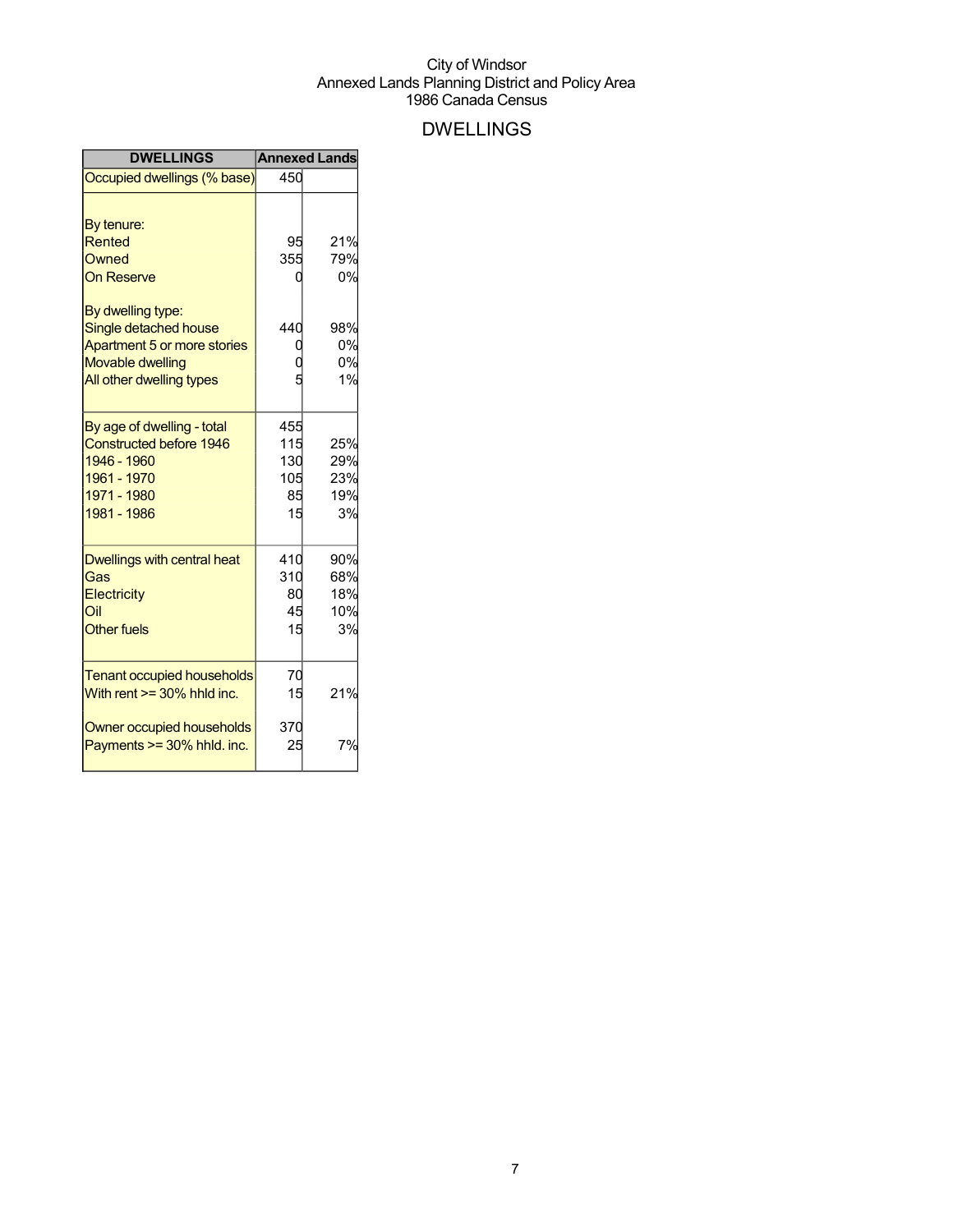## DWELLINGS

| <b>DWELLINGS</b>                                                                                                         |                                      | <b>Annexed Lands</b>           |
|--------------------------------------------------------------------------------------------------------------------------|--------------------------------------|--------------------------------|
| Occupied dwellings (% base)                                                                                              | 450                                  |                                |
| By tenure:                                                                                                               |                                      |                                |
| Rented                                                                                                                   | 95                                   | 21%                            |
| Owned                                                                                                                    | 355                                  | 79%                            |
| <b>On Reserve</b>                                                                                                        |                                      | 0%                             |
| By dwelling type:<br>Single detached house                                                                               | 440                                  | 98%                            |
| Apartment 5 or more stories                                                                                              |                                      | 0%                             |
| <b>Movable dwelling</b>                                                                                                  |                                      | 0%                             |
| All other dwelling types                                                                                                 |                                      | 1%                             |
| By age of dwelling - total<br><b>Constructed before 1946</b><br>1946 - 1960<br>1961 - 1970<br>1971 - 1980<br>1981 - 1986 | 455<br>115<br>130<br>105<br>85<br>15 | 25%<br>29%<br>23%<br>19%<br>3% |
| Dwellings with central heat<br>Gas                                                                                       | 410<br>310                           | 90%<br>68%                     |
| Electricity                                                                                                              | 80                                   | 18%                            |
| Oil                                                                                                                      | 45                                   | 10%                            |
| <b>Other fuels</b>                                                                                                       | 15                                   | 3%                             |
| <b>Tenant occupied households</b><br>With rent $>=$ 30% hhld inc.                                                        | 70<br>15                             | 21%                            |
| Owner occupied households<br>Payments >= 30% hhld. inc.                                                                  | 370<br>25                            | 7%                             |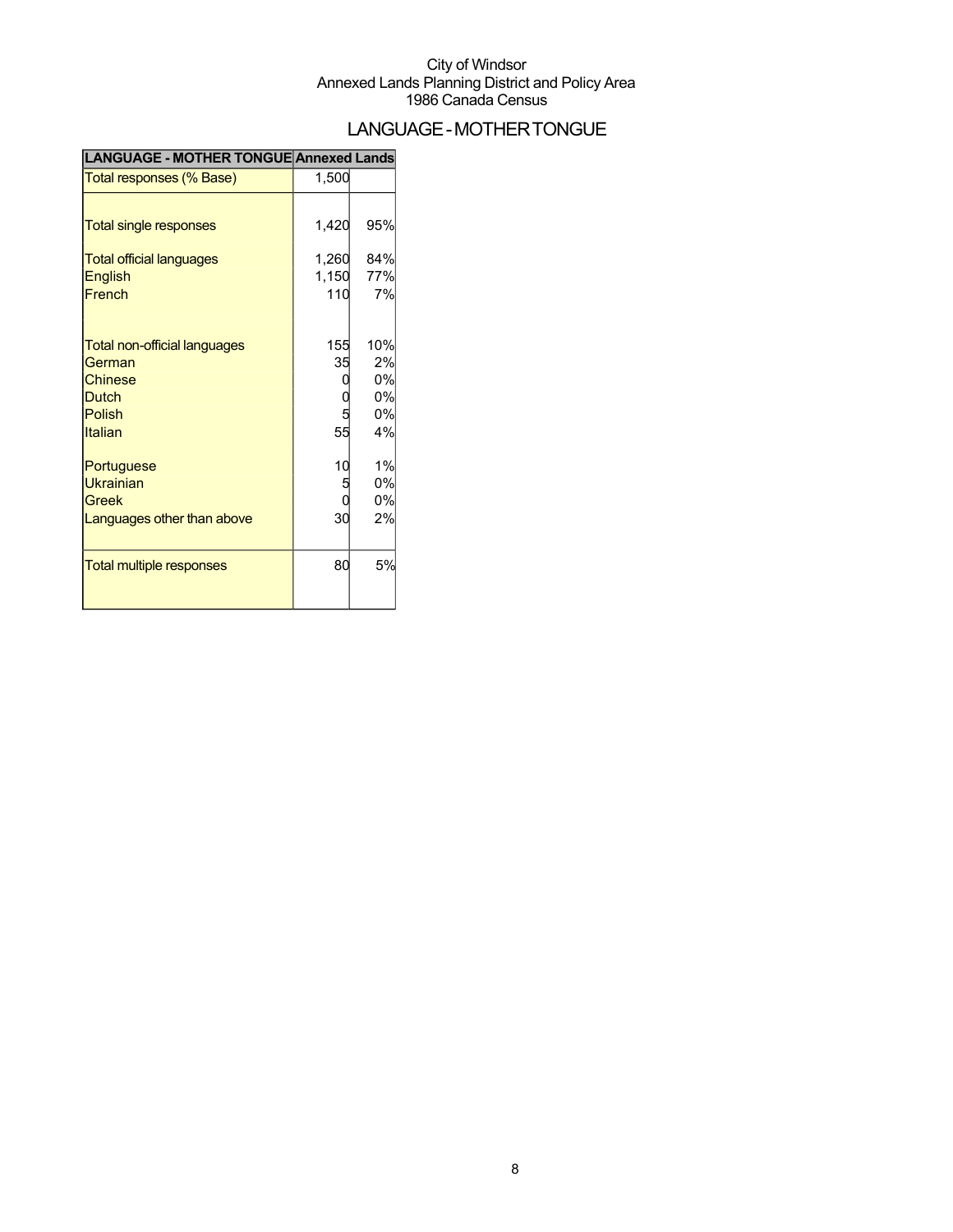## LANGUAGE-MOTHERTONGUE

| LANGUAGE - MOTHER TONGUE Annexed Lands |  |
|----------------------------------------|--|
|----------------------------------------|--|

| Total responses (% Base)                                                                                           | 1,500                          |                                   |
|--------------------------------------------------------------------------------------------------------------------|--------------------------------|-----------------------------------|
| <b>Total single responses</b><br><b>Total official languages</b><br><b>English</b><br>French                       | 1,420<br>1,260<br>1,150<br>110 | 95%<br>84%<br>77%<br>7%           |
| <b>Total non-official languages</b><br>German<br><b>Chinese</b><br><b>Dutch</b><br><b>Polish</b><br><b>Italian</b> | 155<br>35<br>55                | 10%<br>2%<br>0%<br>0%<br>0%<br>4% |
| Portuguese<br><b>Ukrainian</b><br>Greek<br>Languages other than above                                              | 10<br>5<br>30                  | 1%<br>0%<br>0%<br>2%              |
| <b>Total multiple responses</b>                                                                                    | 80                             | 5%                                |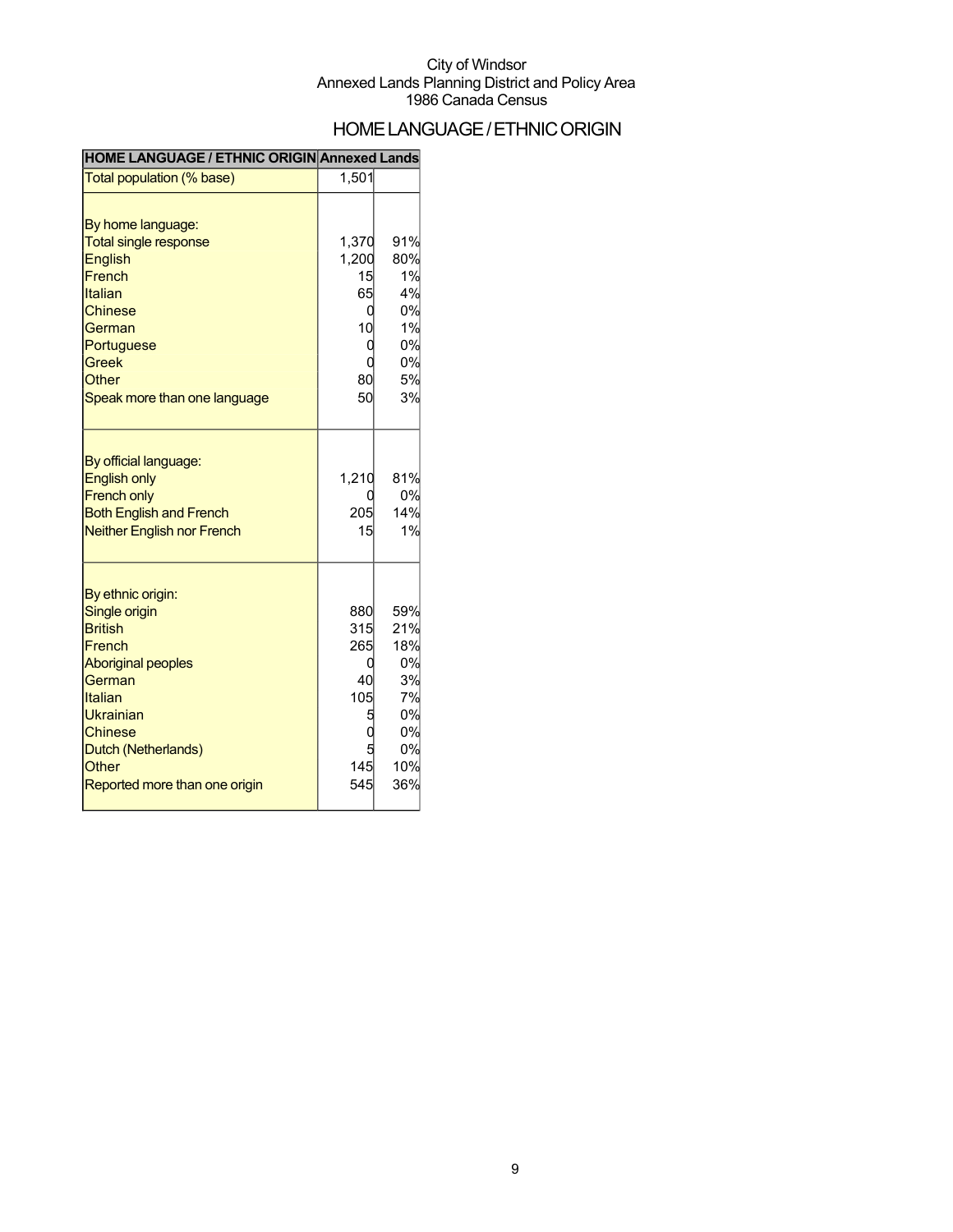### HOME LANGUAGE / ETHNIC ORIGIN

#### **HOME LANGUAGE / ETHNIC ORIGIN Annexed Lands**

| Total population (% base)                                                                                                                                                                                               | 1,501                                        |                                                                     |
|-------------------------------------------------------------------------------------------------------------------------------------------------------------------------------------------------------------------------|----------------------------------------------|---------------------------------------------------------------------|
| By home language:<br><b>Total single response</b><br><b>English</b><br>French<br>Italian<br><b>Chinese</b><br>German<br>Portuguese<br><b>Greek</b><br>Other<br>Speak more than one language                             | 1,370<br>1,200<br>15<br>65<br>10<br>80<br>50 | 91%<br>80%<br>1%<br>4%<br>0%<br>1%<br>0%<br>0%<br>5%<br>3%          |
| By official language:<br><b>English only</b><br><b>French only</b><br><b>Both English and French</b><br><b>Neither English nor French</b>                                                                               | 1,210<br>205<br>15                           | 81%<br>0%<br>14%<br>1%                                              |
| By ethnic origin:<br>Single origin<br><b>British</b><br>French<br><b>Aboriginal peoples</b><br>German<br>Italian<br>Ukrainian<br><b>Chinese</b><br>Dutch (Netherlands)<br><b>Other</b><br>Reported more than one origin | 880<br>315<br>265<br>40<br>105<br>145<br>545 | 59%<br>21%<br>18%<br>0%<br>3%<br>7%<br>0%<br>0%<br>0%<br>10%<br>36% |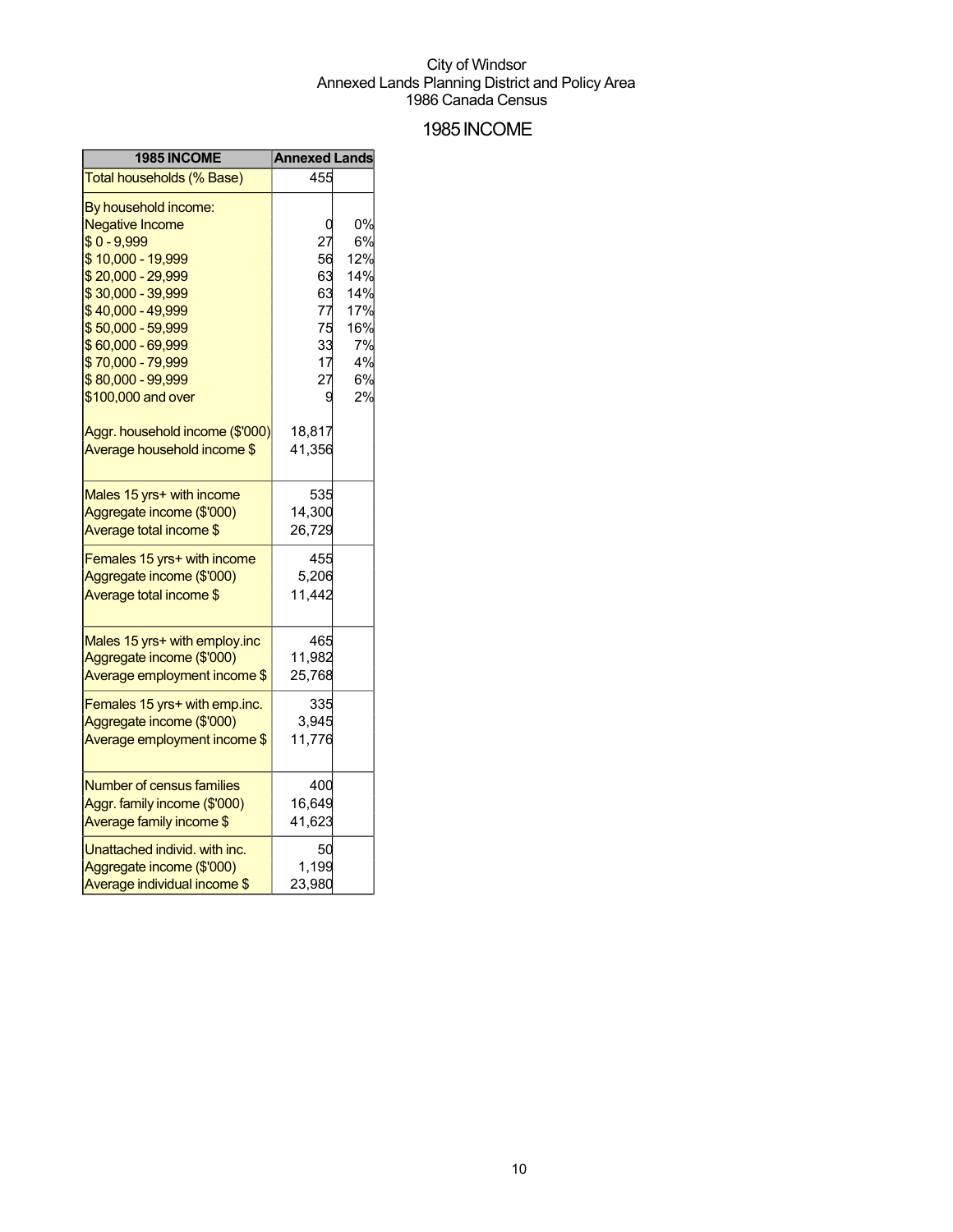### 1985INCOME

| 1985 INCOME                     | <b>Annexed Lands</b> |     |
|---------------------------------|----------------------|-----|
| Total households (% Base)       | 455                  |     |
| By household income:            |                      |     |
| <b>Negative Income</b>          |                      | 0%  |
| $$0 - 9,999$                    | 27                   | 6%  |
| \$10,000 - 19,999               | 56                   | 12% |
| $$20,000 - 29,999$              | 63                   | 14% |
| \$30,000 - 39,999               | 63                   | 14% |
| \$40,000 - 49,999               | 77                   | 17% |
| \$50,000 - 59,999               | 75                   | 16% |
| \$60,000 - 69,999               | 33                   | 7%  |
| \$70,000 - 79,999               | 17                   | 4%  |
| \$80,000 - 99,999               | 27                   | 6%  |
| \$100,000 and over              | g                    | 2%  |
| Aggr. household income (\$'000) | 18,817               |     |
| Average household income \$     | 41,356               |     |
|                                 |                      |     |
| Males 15 yrs+ with income       | 535                  |     |
| Aggregate income (\$'000)       | 14,300               |     |
| Average total income \$         | 26,729               |     |
| Females 15 yrs+ with income     | 455                  |     |
| Aggregate income (\$'000)       | 5,206                |     |
| Average total income \$         | 11,442               |     |
|                                 |                      |     |
| Males 15 yrs+ with employ.inc   | 465                  |     |
| Aggregate income (\$'000)       | 11,982               |     |
| Average employment income \$    | 25,768               |     |
| Females 15 yrs+ with emp.inc.   | 335                  |     |
| Aggregate income (\$'000)       | 3,945                |     |
| Average employment income \$    | 11,776               |     |
|                                 |                      |     |
| Number of census families       | 400                  |     |
| Aggr. family income (\$'000)    | 16,649               |     |
| Average family income \$        | 41,623               |     |
| Unattached individ. with inc.   | 50                   |     |
| Aggregate income (\$'000)       | 1,199                |     |
| Average individual income \$    | 23,980               |     |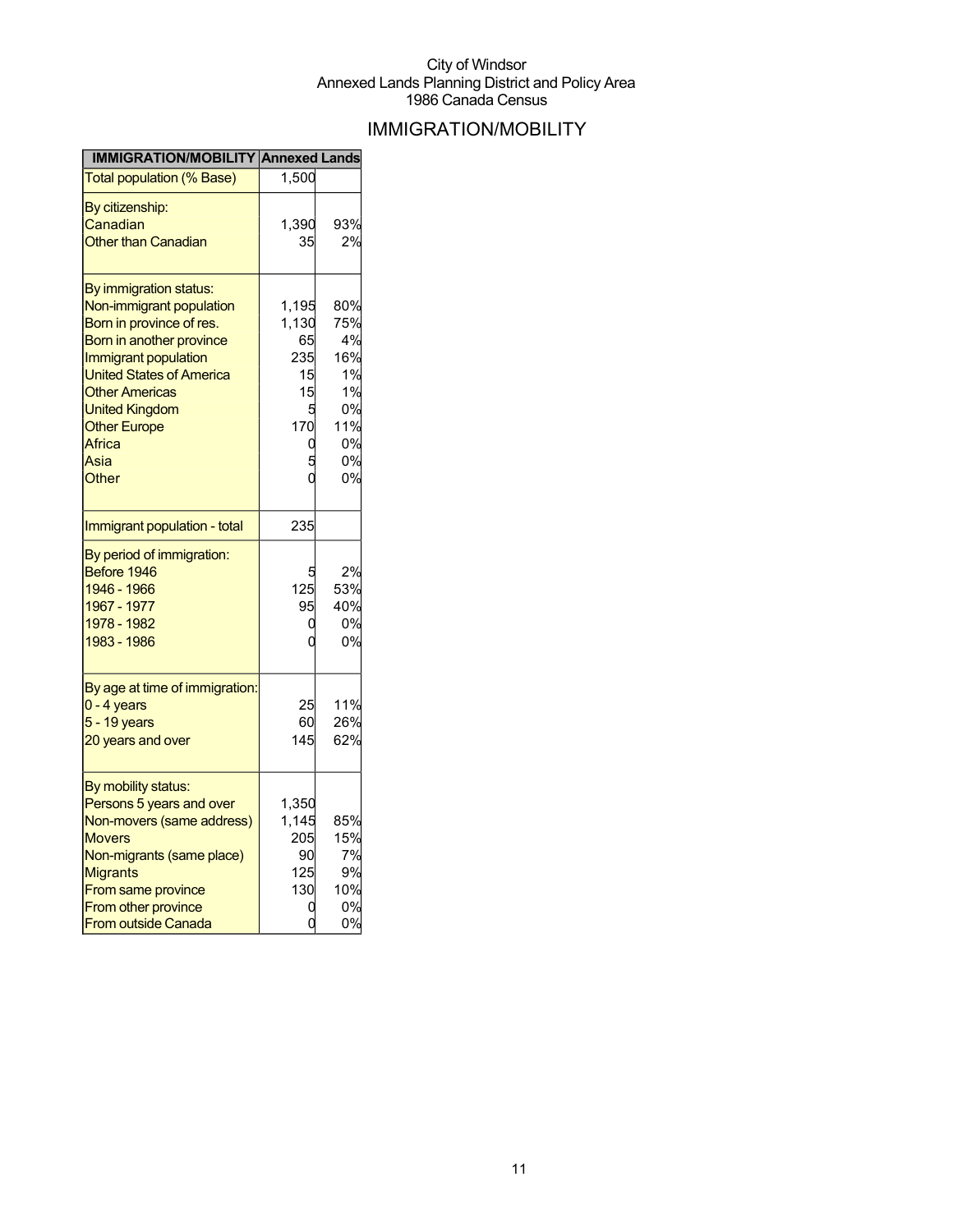## IMMIGRATION/MOBILITY

| <b>IMMIGRATION/MOBILITY Annexed Lands</b>                                                            |                          |                              |
|------------------------------------------------------------------------------------------------------|--------------------------|------------------------------|
| <b>Total population (% Base)</b>                                                                     | 1,500                    |                              |
| By citizenship:                                                                                      |                          |                              |
| Canadian                                                                                             | 1.390                    | 93%                          |
| <b>Other than Canadian</b>                                                                           | 35                       | 2%                           |
| By immigration status:                                                                               |                          |                              |
| Non-immigrant population                                                                             | 1,195                    | 80%                          |
| Born in province of res.                                                                             | 1,130                    | 75%                          |
| Born in another province                                                                             | 65                       | 4%                           |
| <b>Immigrant population</b>                                                                          | 235                      | 16%                          |
| <b>United States of America</b>                                                                      | 15                       | 1%                           |
| <b>Other Americas</b>                                                                                | 15                       | 1%                           |
| <b>United Kingdom</b>                                                                                | 5                        | 0%                           |
| <b>Other Europe</b>                                                                                  | 170                      | 11%                          |
| Africa                                                                                               | 0                        | 0%                           |
| Asia                                                                                                 |                          | 0%                           |
| Other                                                                                                |                          | 0%                           |
| Immigrant population - total                                                                         | 235                      |                              |
| By period of immigration:<br>Before 1946<br>1946 - 1966<br>1967 - 1977<br>1978 - 1982<br>1983 - 1986 | 5<br>125<br>95<br>0<br>ſ | 2%<br>53%<br>40%<br>0%<br>0% |
| By age at time of immigration:<br>$0 - 4$ years<br>$5 - 19$ years<br>20 years and over               | 25<br>60<br>145          | 11%<br>26%<br>62%            |
|                                                                                                      |                          |                              |
| By mobility status:<br>Persons 5 years and over                                                      | 1,350                    |                              |
| Non-movers (same address)                                                                            | 1,145                    | 85%                          |
| <b>Movers</b>                                                                                        | 205                      | 15%                          |
| Non-migrants (same place)                                                                            | 90                       | 7%                           |
| Migrants                                                                                             | 125                      | 9%                           |
| From same province                                                                                   | 130                      | 10%                          |
| From other province                                                                                  |                          | 0%                           |
| <b>From outside Canada</b>                                                                           |                          | 0%                           |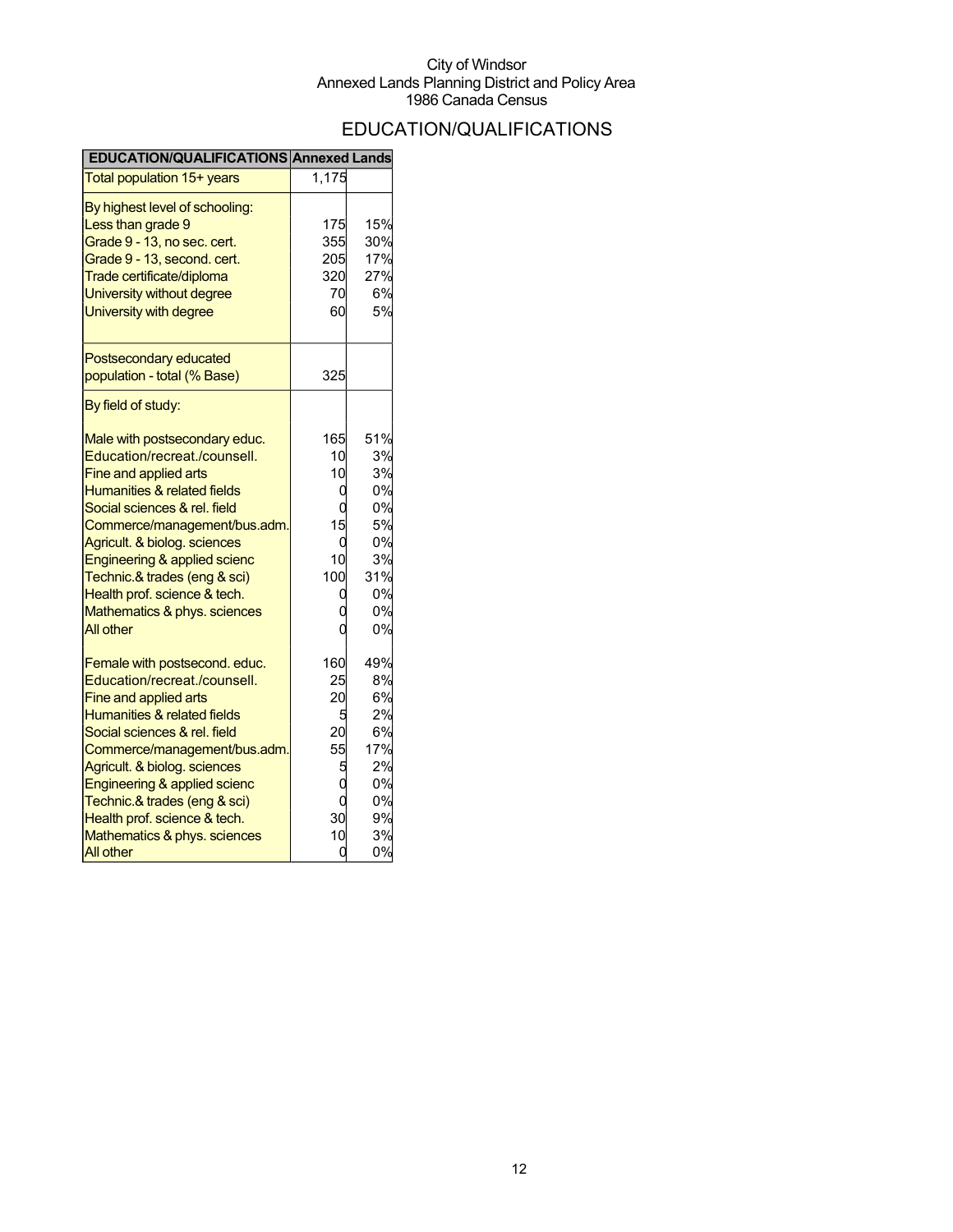## EDUCATION/QUALIFICATIONS

| EDUCATION/QUALIFICATIONS Annexed Lands |       |     |
|----------------------------------------|-------|-----|
| Total population 15+ years             | 1,175 |     |
| By highest level of schooling:         |       |     |
| Less than grade 9                      | 175   | 15% |
| Grade 9 - 13, no sec. cert.            | 355   | 30% |
| Grade 9 - 13, second. cert.            | 205   | 17% |
| Trade certificate/diploma              | 320   | 27% |
| University without degree              | 70    | 6%  |
| University with degree                 | 60    | 5%  |
| Postsecondary educated                 |       |     |
| population - total (% Base)            | 325   |     |
| By field of study:                     |       |     |
| Male with postsecondary educ.          | 165   | 51% |
| Education/recreat./counsell.           | 10    | 3%  |
| Fine and applied arts                  | 10    | 3%  |
| <b>Humanities &amp; related fields</b> | C     | 0%  |
| Social sciences & rel. field           |       | 0%  |
| Commerce/management/bus.adm.           | 15    | 5%  |
| Agricult. & biolog. sciences           | በ     | 0%  |
| Engineering & applied scienc           | 10    | 3%  |
| Technic.& trades (eng & sci)           | 100   | 31% |
| Health prof. science & tech.           |       | 0%  |
| Mathematics & phys. sciences           |       | 0%  |
| All other                              |       | 0%  |
| Female with postsecond. educ.          | 160   | 49% |
| Education/recreat./counsell.           | 25    | 8%  |
| <b>Fine and applied arts</b>           | 20    | 6%  |
| Humanities & related fields            | 5     | 2%  |
| Social sciences & rel. field           | 20    | 6%  |
| Commerce/management/bus.adm.           | 55    | 17% |
| Agricult. & biolog. sciences           | 5     | 2%  |
| Engineering & applied scienc           |       | 0%  |
| Technic.& trades (eng & sci)           | C     | 0%  |
| Health prof. science & tech.           | 30    | 9%  |
| Mathematics & phys. sciences           | 10    | 3%  |
| All other                              | C     | 0%  |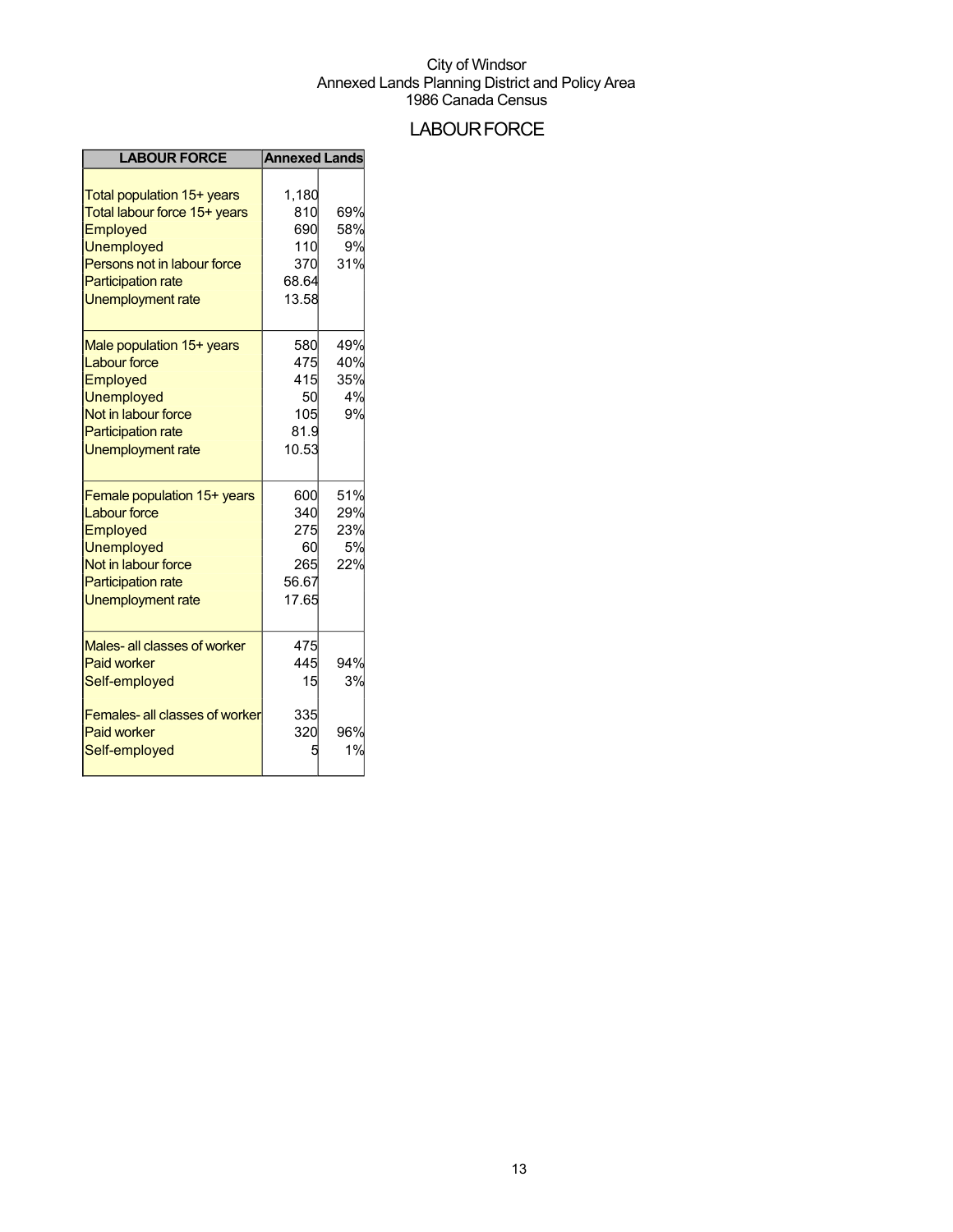## **LABOUR FORCE**

| <b>LABOUR FORCE</b>                                                                                                                                                   | <b>Annexed Lands</b>                                |                                |
|-----------------------------------------------------------------------------------------------------------------------------------------------------------------------|-----------------------------------------------------|--------------------------------|
| Total population 15+ years<br>Total labour force 15+ years<br>Employed<br>Unemployed<br>Persons not in labour force<br><b>Participation rate</b><br>Unemployment rate | 1,180<br>810<br>690<br>110<br>370<br>68.64<br>13.58 | 69%<br>58%<br>9%<br>31%        |
| Male population 15+ years<br><b>Labour force</b><br>Employed<br>Unemployed<br>Not in labour force<br><b>Participation rate</b><br><b>Unemployment rate</b>            | 580<br>475<br>415<br>50<br>105<br>81.9<br>10.53     | 49%<br>40%<br>35%<br>4%<br>9%  |
| Female population 15+ years<br><b>Labour force</b><br>Employed<br><b>Unemployed</b><br>Not in labour force<br><b>Participation rate</b><br><b>Unemployment rate</b>   | 600<br>340<br>275<br>60<br>265<br>56.67<br>17.65    | 51%<br>29%<br>23%<br>5%<br>22% |
| Males- all classes of worker<br><b>Paid worker</b><br>Self-employed<br><b>Females-all classes of worker</b><br><b>Paid worker</b><br>Self-employed                    | 475<br>445<br>15<br>335<br>320                      | 94%<br>3%<br>96%<br>1%         |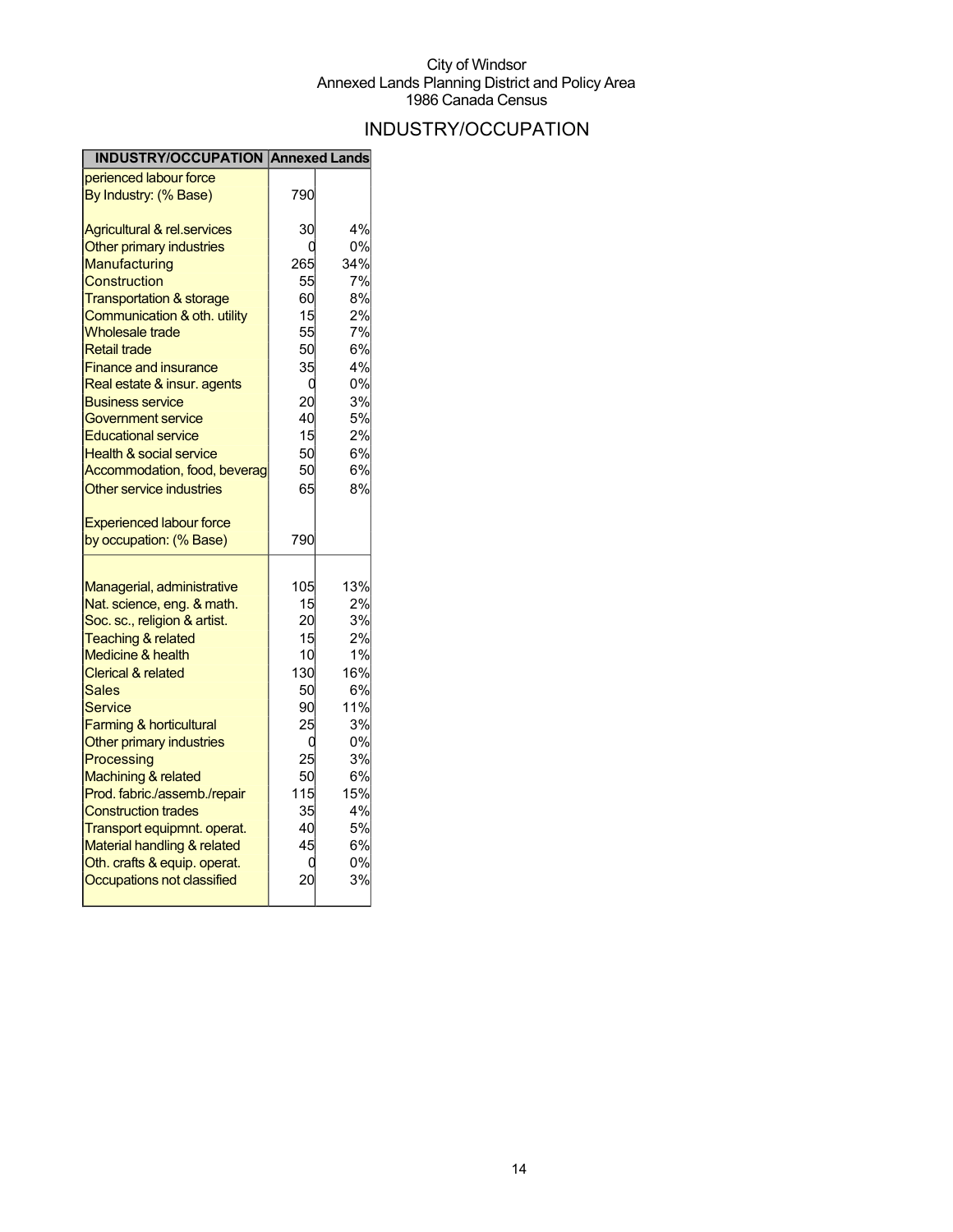## INDUSTRY/OCCUPATION

| <b>INDUSTRY/OCCUPATION Annexed Lands</b> |     |     |
|------------------------------------------|-----|-----|
| perienced labour force                   |     |     |
| By Industry: (% Base)                    | 790 |     |
| <b>Agricultural &amp; rel.services</b>   | 30  | 4%  |
| Other primary industries                 | U   | 0%  |
| <b>Manufacturing</b>                     | 265 | 34% |
| Construction                             | 55  | 7%  |
| <b>Transportation &amp; storage</b>      | 60  | 8%  |
| Communication & oth. utility             | 15  | 2%  |
| <b>Wholesale trade</b>                   | 55  | 7%  |
| <b>Retail trade</b>                      | 50  | 6%  |
| <b>Finance and insurance</b>             | 35  | 4%  |
| Real estate & insur. agents              | 0   | 0%  |
| <b>Business service</b>                  | 20  | 3%  |
| Government service                       | 40  | 5%  |
| <b>Educational service</b>               | 15  | 2%  |
| <b>Health &amp; social service</b>       | 50  | 6%l |
| Accommodation, food, beverag             | 50  | 6%  |
| Other service industries                 | 65  | 8%  |
| <b>Experienced labour force</b>          |     |     |
| by occupation: (% Base)                  | 790 |     |
|                                          |     |     |
| Managerial, administrative               | 105 | 13% |
| Nat. science, eng. & math.               | 15  | 2%  |
| Soc. sc., religion & artist.             | 20  | 3%  |
| <b>Teaching &amp; related</b>            | 15  | 2%  |
| <b>Medicine &amp; health</b>             | 10  | 1%  |
| <b>Clerical &amp; related</b>            | 130 | 16% |
| Sales                                    | 50  | 6%  |
| Service                                  | 90  | 11% |
| Farming & horticultural                  | 25  | 3%  |
| Other primary industries                 | Ω   | 0%  |
| Processing                               | 25  | 3%  |
| Machining & related                      | 50  | 6%  |
| Prod. fabric./assemb./repair             | 115 | 15% |
| <b>Construction trades</b>               | 35  | 4%  |
| Transport equipmnt. operat.              | 40  | 5%  |
| Material handling & related              | 45  | 6%  |
| Oth. crafts & equip. operat.             | C   | 0%  |
| Occupations not classified               | 20  | 3%  |
|                                          |     |     |